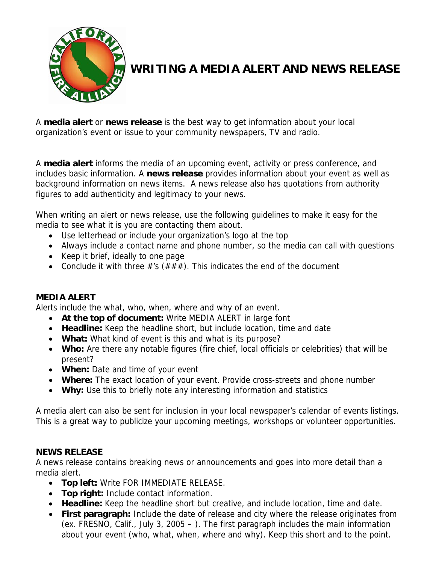

## **WRITING A MEDIA ALERT AND NEWS RELEASE**

A **media alert** or **news release** is the best way to get information about your local organization's event or issue to your community newspapers, TV and radio.

A **media alert** informs the media of an upcoming event, activity or press conference, and includes basic information. A **news release** provides information about your event as well as background information on news items. A news release also has quotations from authority figures to add authenticity and legitimacy to your news.

When writing an alert or news release, use the following guidelines to make it easy for the media to see what it is you are contacting them about.

- Use letterhead or include your organization's logo at the top
- Always include a contact name and phone number, so the media can call with questions
- Keep it brief, ideally to one page
- Conclude it with three  $\#$ 's ( $\# \# \#$ ). This indicates the end of the document

## **MEDIA ALERT**

Alerts include the what, who, when, where and why of an event.

- **At the top of document:** Write MEDIA ALERT in large font
- **Headline:** Keep the headline short, but include location, time and date
- **What:** What kind of event is this and what is its purpose?
- **Who:** Are there any notable figures (fire chief, local officials or celebrities) that will be present?
- **When:** Date and time of your event
- **Where:** The exact location of your event. Provide cross-streets and phone number
- **Why:** Use this to briefly note any interesting information and statistics

A media alert can also be sent for inclusion in your local newspaper's calendar of events listings. This is a great way to publicize your upcoming meetings, workshops or volunteer opportunities.

## **NEWS RELEASE**

A news release contains breaking news or announcements and goes into more detail than a media alert.

- **Top left:** Write FOR IMMEDIATE RELEASE.
- **Top right:** Include contact information.
- **Headline:** Keep the headline short but creative, and include location, time and date.
- **First paragraph:** Include the date of release and city where the release originates from (ex. FRESNO, Calif., July 3, 2005 – ). The first paragraph includes the main information about your event (who, what, when, where and why). Keep this short and to the point.